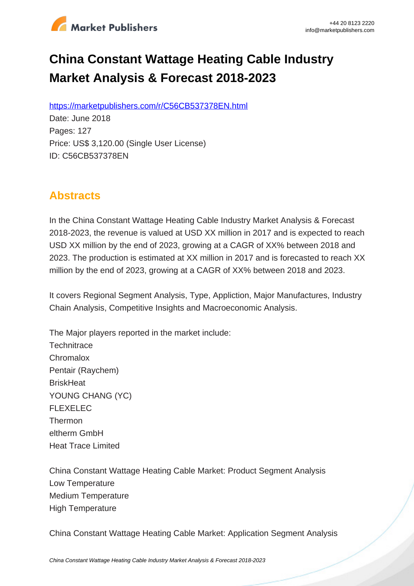

# **China Constant Wattage Heating Cable Industry Market Analysis & Forecast 2018-2023**

https://marketpublishers.com/r/C56CB537378EN.html

Date: June 2018 Pages: 127 Price: US\$ 3,120.00 (Single User License) ID: C56CB537378EN

# **Abstracts**

In the China Constant Wattage Heating Cable Industry Market Analysis & Forecast 2018-2023, the revenue is valued at USD XX million in 2017 and is expected to reach USD XX million by the end of 2023, growing at a CAGR of XX% between 2018 and 2023. The production is estimated at XX million in 2017 and is forecasted to reach XX million by the end of 2023, growing at a CAGR of XX% between 2018 and 2023.

It covers Regional Segment Analysis, Type, Appliction, Major Manufactures, Industry Chain Analysis, Competitive Insights and Macroeconomic Analysis.

The Major players reported in the market include: **Technitrace Chromalox** Pentair (Raychem) **BriskHeat** YOUNG CHANG (YC) FLEXELEC Thermon eltherm GmbH Heat Trace Limited

China Constant Wattage Heating Cable Market: Product Segment Analysis Low Temperature Medium Temperature High Temperature

China Constant Wattage Heating Cable Market: Application Segment Analysis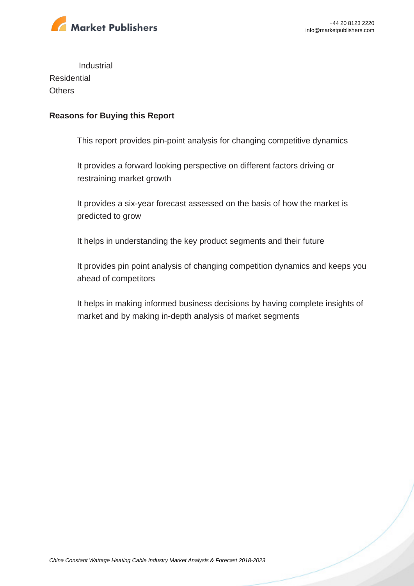

Industrial **Residential Others** 

#### **Reasons for Buying this Report**

This report provides pin-point analysis for changing competitive dynamics

It provides a forward looking perspective on different factors driving or restraining market growth

It provides a six-year forecast assessed on the basis of how the market is predicted to grow

It helps in understanding the key product segments and their future

It provides pin point analysis of changing competition dynamics and keeps you ahead of competitors

It helps in making informed business decisions by having complete insights of market and by making in-depth analysis of market segments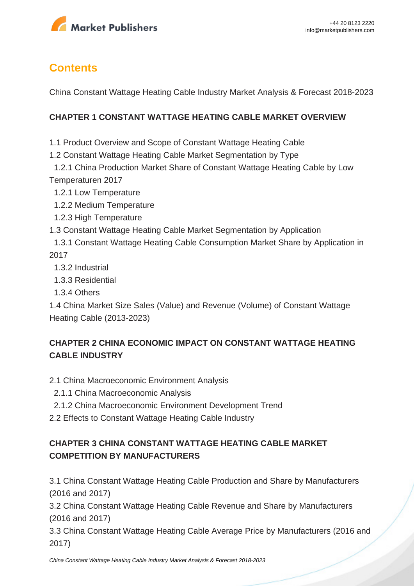

# **Contents**

China Constant Wattage Heating Cable Industry Market Analysis & Forecast 2018-2023

#### **CHAPTER 1 CONSTANT WATTAGE HEATING CABLE MARKET OVERVIEW**

1.1 Product Overview and Scope of Constant Wattage Heating Cable

- 1.2 Constant Wattage Heating Cable Market Segmentation by Type
- 1.2.1 China Production Market Share of Constant Wattage Heating Cable by Low Temperaturen 2017
	- 1.2.1 Low Temperature
	- 1.2.2 Medium Temperature
	- 1.2.3 High Temperature
- 1.3 Constant Wattage Heating Cable Market Segmentation by Application
- 1.3.1 Constant Wattage Heating Cable Consumption Market Share by Application in 2017
	- 1.3.2 Industrial
	- 1.3.3 Residential
	- 1.3.4 Others

1.4 China Market Size Sales (Value) and Revenue (Volume) of Constant Wattage Heating Cable (2013-2023)

# **CHAPTER 2 CHINA ECONOMIC IMPACT ON CONSTANT WATTAGE HEATING CABLE INDUSTRY**

- 2.1 China Macroeconomic Environment Analysis
- 2.1.1 China Macroeconomic Analysis
- 2.1.2 China Macroeconomic Environment Development Trend
- 2.2 Effects to Constant Wattage Heating Cable Industry

# **CHAPTER 3 CHINA CONSTANT WATTAGE HEATING CABLE MARKET COMPETITION BY MANUFACTURERS**

3.1 China Constant Wattage Heating Cable Production and Share by Manufacturers (2016 and 2017)

3.2 China Constant Wattage Heating Cable Revenue and Share by Manufacturers (2016 and 2017)

3.3 China Constant Wattage Heating Cable Average Price by Manufacturers (2016 and 2017)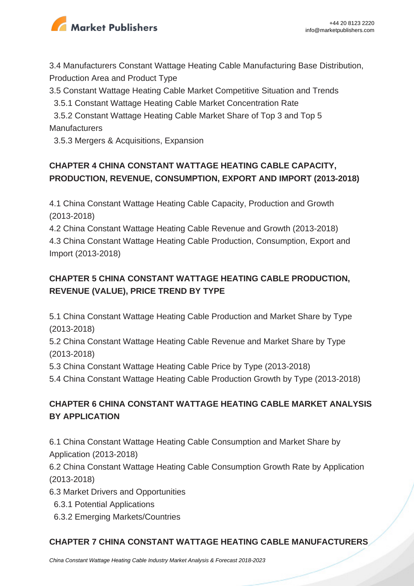

3.4 Manufacturers Constant Wattage Heating Cable Manufacturing Base Distribution, Production Area and Product Type

3.5 Constant Wattage Heating Cable Market Competitive Situation and Trends

3.5.1 Constant Wattage Heating Cable Market Concentration Rate

 3.5.2 Constant Wattage Heating Cable Market Share of Top 3 and Top 5 **Manufacturers** 

3.5.3 Mergers & Acquisitions, Expansion

# **CHAPTER 4 CHINA CONSTANT WATTAGE HEATING CABLE CAPACITY, PRODUCTION, REVENUE, CONSUMPTION, EXPORT AND IMPORT (2013-2018)**

4.1 China Constant Wattage Heating Cable Capacity, Production and Growth (2013-2018)

4.2 China Constant Wattage Heating Cable Revenue and Growth (2013-2018) 4.3 China Constant Wattage Heating Cable Production, Consumption, Export and Import (2013-2018)

# **CHAPTER 5 CHINA CONSTANT WATTAGE HEATING CABLE PRODUCTION, REVENUE (VALUE), PRICE TREND BY TYPE**

5.1 China Constant Wattage Heating Cable Production and Market Share by Type (2013-2018)

5.2 China Constant Wattage Heating Cable Revenue and Market Share by Type (2013-2018)

5.3 China Constant Wattage Heating Cable Price by Type (2013-2018)

5.4 China Constant Wattage Heating Cable Production Growth by Type (2013-2018)

# **CHAPTER 6 CHINA CONSTANT WATTAGE HEATING CABLE MARKET ANALYSIS BY APPLICATION**

6.1 China Constant Wattage Heating Cable Consumption and Market Share by Application (2013-2018)

6.2 China Constant Wattage Heating Cable Consumption Growth Rate by Application (2013-2018)

6.3 Market Drivers and Opportunities

- 6.3.1 Potential Applications
- 6.3.2 Emerging Markets/Countries

#### **CHAPTER 7 CHINA CONSTANT WATTAGE HEATING CABLE MANUFACTURERS**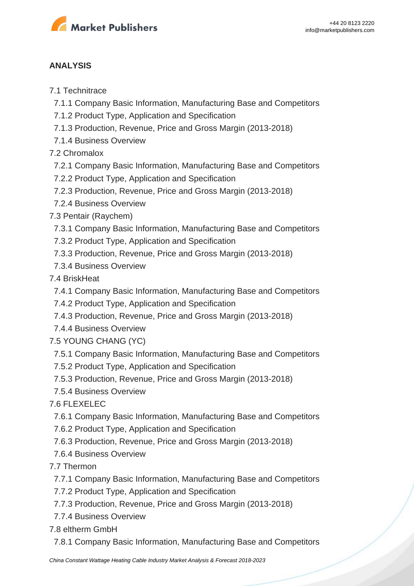

#### **ANALYSIS**

#### 7.1 Technitrace

- 7.1.1 Company Basic Information, Manufacturing Base and Competitors
- 7.1.2 Product Type, Application and Specification
- 7.1.3 Production, Revenue, Price and Gross Margin (2013-2018)
- 7.1.4 Business Overview

7.2 Chromalox

- 7.2.1 Company Basic Information, Manufacturing Base and Competitors
- 7.2.2 Product Type, Application and Specification
- 7.2.3 Production, Revenue, Price and Gross Margin (2013-2018)
- 7.2.4 Business Overview
- 7.3 Pentair (Raychem)
	- 7.3.1 Company Basic Information, Manufacturing Base and Competitors
	- 7.3.2 Product Type, Application and Specification
	- 7.3.3 Production, Revenue, Price and Gross Margin (2013-2018)
- 7.3.4 Business Overview

#### 7.4 BriskHeat

- 7.4.1 Company Basic Information, Manufacturing Base and Competitors
- 7.4.2 Product Type, Application and Specification
- 7.4.3 Production, Revenue, Price and Gross Margin (2013-2018)
- 7.4.4 Business Overview
- 7.5 YOUNG CHANG (YC)
	- 7.5.1 Company Basic Information, Manufacturing Base and Competitors
	- 7.5.2 Product Type, Application and Specification
	- 7.5.3 Production, Revenue, Price and Gross Margin (2013-2018)
- 7.5.4 Business Overview

#### 7.6 FLEXELEC

- 7.6.1 Company Basic Information, Manufacturing Base and Competitors
- 7.6.2 Product Type, Application and Specification
- 7.6.3 Production, Revenue, Price and Gross Margin (2013-2018)
- 7.6.4 Business Overview
- 7.7 Thermon
	- 7.7.1 Company Basic Information, Manufacturing Base and Competitors
	- 7.7.2 Product Type, Application and Specification
	- 7.7.3 Production, Revenue, Price and Gross Margin (2013-2018)
	- 7.7.4 Business Overview

7.8 eltherm GmbH

7.8.1 Company Basic Information, Manufacturing Base and Competitors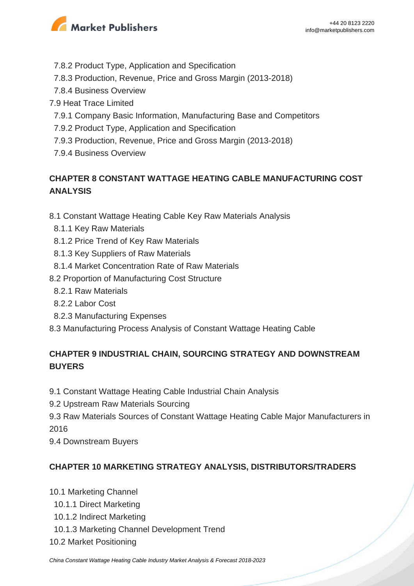

- 7.8.2 Product Type, Application and Specification
- 7.8.3 Production, Revenue, Price and Gross Margin (2013-2018)
- 7.8.4 Business Overview
- 7.9 Heat Trace Limited
	- 7.9.1 Company Basic Information, Manufacturing Base and Competitors
- 7.9.2 Product Type, Application and Specification
- 7.9.3 Production, Revenue, Price and Gross Margin (2013-2018)
- 7.9.4 Business Overview

# **CHAPTER 8 CONSTANT WATTAGE HEATING CABLE MANUFACTURING COST ANALYSIS**

- 8.1 Constant Wattage Heating Cable Key Raw Materials Analysis
- 8.1.1 Key Raw Materials
- 8.1.2 Price Trend of Key Raw Materials
- 8.1.3 Key Suppliers of Raw Materials
- 8.1.4 Market Concentration Rate of Raw Materials
- 8.2 Proportion of Manufacturing Cost Structure
	- 8.2.1 Raw Materials
	- 8.2.2 Labor Cost
	- 8.2.3 Manufacturing Expenses
- 8.3 Manufacturing Process Analysis of Constant Wattage Heating Cable

### **CHAPTER 9 INDUSTRIAL CHAIN, SOURCING STRATEGY AND DOWNSTREAM BUYERS**

- 9.1 Constant Wattage Heating Cable Industrial Chain Analysis
- 9.2 Upstream Raw Materials Sourcing
- 9.3 Raw Materials Sources of Constant Wattage Heating Cable Major Manufacturers in 2016
- 9.4 Downstream Buyers

#### **CHAPTER 10 MARKETING STRATEGY ANALYSIS, DISTRIBUTORS/TRADERS**

- 10.1 Marketing Channel
	- 10.1.1 Direct Marketing
	- 10.1.2 Indirect Marketing
- 10.1.3 Marketing Channel Development Trend
- 10.2 Market Positioning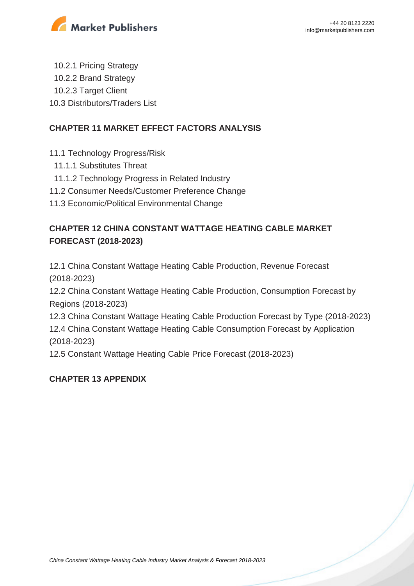

 10.2.1 Pricing Strategy 10.2.2 Brand Strategy 10.2.3 Target Client 10.3 Distributors/Traders List

#### **CHAPTER 11 MARKET EFFECT FACTORS ANALYSIS**

- 11.1 Technology Progress/Risk
- 11.1.1 Substitutes Threat
- 11.1.2 Technology Progress in Related Industry
- 11.2 Consumer Needs/Customer Preference Change
- 11.3 Economic/Political Environmental Change

# **CHAPTER 12 CHINA CONSTANT WATTAGE HEATING CABLE MARKET FORECAST (2018-2023)**

12.1 China Constant Wattage Heating Cable Production, Revenue Forecast (2018-2023)

12.2 China Constant Wattage Heating Cable Production, Consumption Forecast by Regions (2018-2023)

12.3 China Constant Wattage Heating Cable Production Forecast by Type (2018-2023) 12.4 China Constant Wattage Heating Cable Consumption Forecast by Application (2018-2023)

12.5 Constant Wattage Heating Cable Price Forecast (2018-2023)

#### **CHAPTER 13 APPENDIX**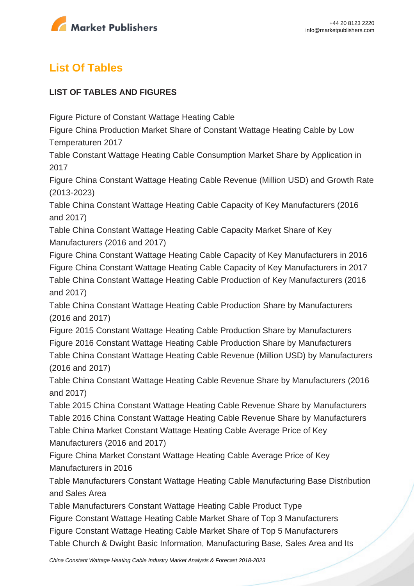

# **List Of Tables**

#### **LIST OF TABLES AND FIGURES**

Figure Picture of Constant Wattage Heating Cable

Figure China Production Market Share of Constant Wattage Heating Cable by Low Temperaturen 2017

Table Constant Wattage Heating Cable Consumption Market Share by Application in 2017

Figure China Constant Wattage Heating Cable Revenue (Million USD) and Growth Rate (2013-2023)

Table China Constant Wattage Heating Cable Capacity of Key Manufacturers (2016 and 2017)

Table China Constant Wattage Heating Cable Capacity Market Share of Key Manufacturers (2016 and 2017)

Figure China Constant Wattage Heating Cable Capacity of Key Manufacturers in 2016 Figure China Constant Wattage Heating Cable Capacity of Key Manufacturers in 2017 Table China Constant Wattage Heating Cable Production of Key Manufacturers (2016 and 2017)

Table China Constant Wattage Heating Cable Production Share by Manufacturers (2016 and 2017)

Figure 2015 Constant Wattage Heating Cable Production Share by Manufacturers Figure 2016 Constant Wattage Heating Cable Production Share by Manufacturers Table China Constant Wattage Heating Cable Revenue (Million USD) by Manufacturers (2016 and 2017)

Table China Constant Wattage Heating Cable Revenue Share by Manufacturers (2016 and 2017)

Table 2015 China Constant Wattage Heating Cable Revenue Share by Manufacturers Table 2016 China Constant Wattage Heating Cable Revenue Share by Manufacturers Table China Market Constant Wattage Heating Cable Average Price of Key Manufacturers (2016 and 2017)

Figure China Market Constant Wattage Heating Cable Average Price of Key Manufacturers in 2016

Table Manufacturers Constant Wattage Heating Cable Manufacturing Base Distribution and Sales Area

Table Manufacturers Constant Wattage Heating Cable Product Type

Figure Constant Wattage Heating Cable Market Share of Top 3 Manufacturers Figure Constant Wattage Heating Cable Market Share of Top 5 Manufacturers Table Church & Dwight Basic Information, Manufacturing Base, Sales Area and Its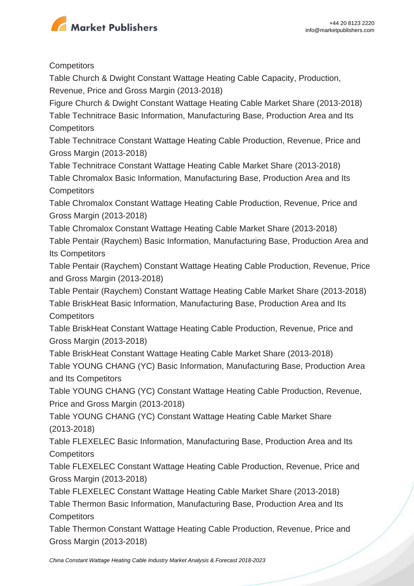

#### **Competitors**

Table Church & Dwight Constant Wattage Heating Cable Capacity, Production, Revenue, Price and Gross Margin (2013-2018)

Figure Church & Dwight Constant Wattage Heating Cable Market Share (2013-2018) Table Technitrace Basic Information, Manufacturing Base, Production Area and Its **Competitors** 

Table Technitrace Constant Wattage Heating Cable Production, Revenue, Price and Gross Margin (2013-2018)

Table Technitrace Constant Wattage Heating Cable Market Share (2013-2018) Table Chromalox Basic Information, Manufacturing Base, Production Area and Its **Competitors** 

Table Chromalox Constant Wattage Heating Cable Production, Revenue, Price and Gross Margin (2013-2018)

Table Chromalox Constant Wattage Heating Cable Market Share (2013-2018)

Table Pentair (Raychem) Basic Information, Manufacturing Base, Production Area and Its Competitors

Table Pentair (Raychem) Constant Wattage Heating Cable Production, Revenue, Price and Gross Margin (2013-2018)

Table Pentair (Raychem) Constant Wattage Heating Cable Market Share (2013-2018)

Table BriskHeat Basic Information, Manufacturing Base, Production Area and Its **Competitors** 

Table BriskHeat Constant Wattage Heating Cable Production, Revenue, Price and Gross Margin (2013-2018)

Table BriskHeat Constant Wattage Heating Cable Market Share (2013-2018) Table YOUNG CHANG (YC) Basic Information, Manufacturing Base, Production Area and Its Competitors

Table YOUNG CHANG (YC) Constant Wattage Heating Cable Production, Revenue, Price and Gross Margin (2013-2018)

Table YOUNG CHANG (YC) Constant Wattage Heating Cable Market Share (2013-2018)

Table FLEXELEC Basic Information, Manufacturing Base, Production Area and Its **Competitors** 

Table FLEXELEC Constant Wattage Heating Cable Production, Revenue, Price and Gross Margin (2013-2018)

Table FLEXELEC Constant Wattage Heating Cable Market Share (2013-2018) Table Thermon Basic Information, Manufacturing Base, Production Area and Its

**Competitors** 

Table Thermon Constant Wattage Heating Cable Production, Revenue, Price and Gross Margin (2013-2018)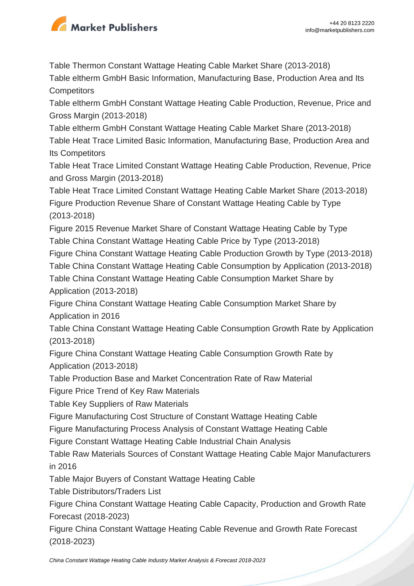

Table Thermon Constant Wattage Heating Cable Market Share (2013-2018) Table eltherm GmbH Basic Information, Manufacturing Base, Production Area and Its **Competitors** 

Table eltherm GmbH Constant Wattage Heating Cable Production, Revenue, Price and Gross Margin (2013-2018)

Table eltherm GmbH Constant Wattage Heating Cable Market Share (2013-2018) Table Heat Trace Limited Basic Information, Manufacturing Base, Production Area and Its Competitors

Table Heat Trace Limited Constant Wattage Heating Cable Production, Revenue, Price and Gross Margin (2013-2018)

Table Heat Trace Limited Constant Wattage Heating Cable Market Share (2013-2018) Figure Production Revenue Share of Constant Wattage Heating Cable by Type (2013-2018)

Figure 2015 Revenue Market Share of Constant Wattage Heating Cable by Type Table China Constant Wattage Heating Cable Price by Type (2013-2018)

Figure China Constant Wattage Heating Cable Production Growth by Type (2013-2018)

Table China Constant Wattage Heating Cable Consumption by Application (2013-2018) Table China Constant Wattage Heating Cable Consumption Market Share by

Application (2013-2018)

Figure China Constant Wattage Heating Cable Consumption Market Share by Application in 2016

Table China Constant Wattage Heating Cable Consumption Growth Rate by Application (2013-2018)

Figure China Constant Wattage Heating Cable Consumption Growth Rate by Application (2013-2018)

Table Production Base and Market Concentration Rate of Raw Material

Figure Price Trend of Key Raw Materials

Table Key Suppliers of Raw Materials

Figure Manufacturing Cost Structure of Constant Wattage Heating Cable

Figure Manufacturing Process Analysis of Constant Wattage Heating Cable

Figure Constant Wattage Heating Cable Industrial Chain Analysis

Table Raw Materials Sources of Constant Wattage Heating Cable Major Manufacturers in 2016

Table Major Buyers of Constant Wattage Heating Cable

Table Distributors/Traders List

Figure China Constant Wattage Heating Cable Capacity, Production and Growth Rate Forecast (2018-2023)

Figure China Constant Wattage Heating Cable Revenue and Growth Rate Forecast (2018-2023)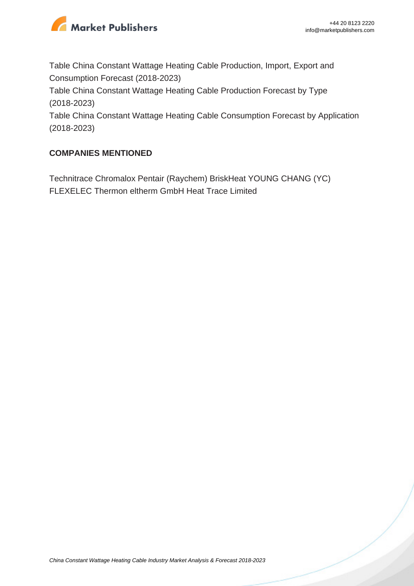

Table China Constant Wattage Heating Cable Production, Import, Export and Consumption Forecast (2018-2023)

Table China Constant Wattage Heating Cable Production Forecast by Type (2018-2023)

Table China Constant Wattage Heating Cable Consumption Forecast by Application (2018-2023)

#### **COMPANIES MENTIONED**

Technitrace Chromalox Pentair (Raychem) BriskHeat YOUNG CHANG (YC) FLEXELEC Thermon eltherm GmbH Heat Trace Limited